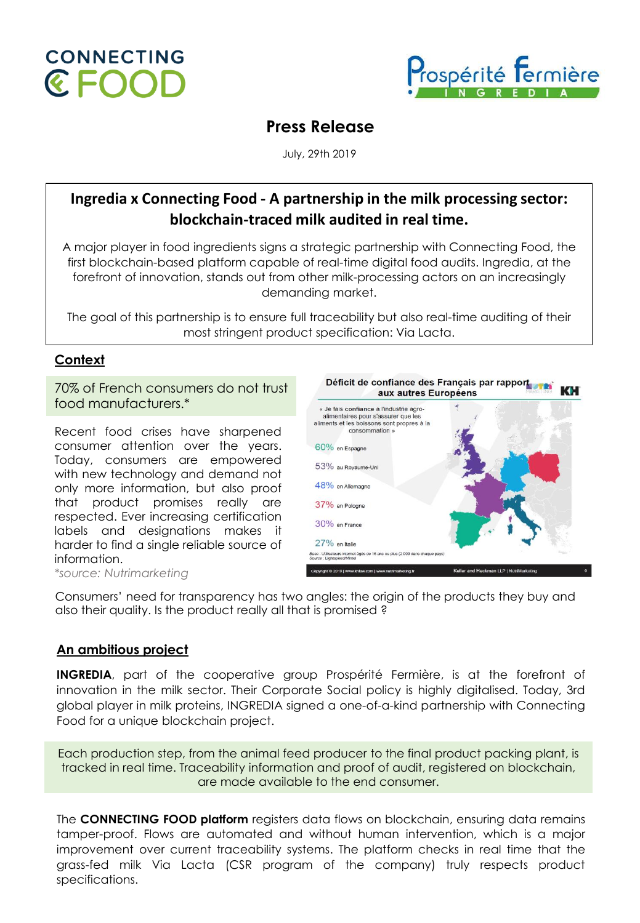



# **Press Release**

July, 29th 2019

## **Ingredia x Connecting Food - A partnership in the milk processing sector: blockchain-traced milk audited in real time.**

A major player in food ingredients signs a strategic partnership with Connecting Food, the first blockchain-based platform capable of real-time digital food audits. Ingredia, at the forefront of innovation, stands out from other milk-processing actors on an increasingly demanding market.

The goal of this partnership is to ensure full traceability but also real-time auditing of their most stringent product specification: Via Lacta.

## **Context**

70% of French consumers do not trust food manufacturers.\*

Recent food crises have sharpened consumer attention over the years. Today, consumers are empowered with new technology and demand not only more information, but also proof that product promises really are respected. Ever increasing certification labels and designations makes it harder to find a single reliable source of information.



*\*source: Nutrimarketing*

Consumers' need for transparency has two angles: the origin of the products they buy and also their quality. Is the product really all that is promised ?

## **An ambitious project**

**INGREDIA**, part of the cooperative group Prospérité Fermière, is at the forefront of innovation in the milk sector. Their Corporate Social policy is highly digitalised. Today, 3rd global player in milk proteins, INGREDIA signed a one-of-a-kind partnership with Connecting Food for a unique blockchain project.

Each production step, from the animal feed producer to the final product packing plant, is tracked in real time. Traceability information and proof of audit, registered on blockchain, are made available to the end consumer.

The **CONNECTING FOOD platform** registers data flows on blockchain, ensuring data remains tamper-proof. Flows are automated and without human intervention, which is a major improvement over current traceability systems. The platform checks in real time that the grass-fed milk Via Lacta (CSR program of the company) truly respects product specifications.